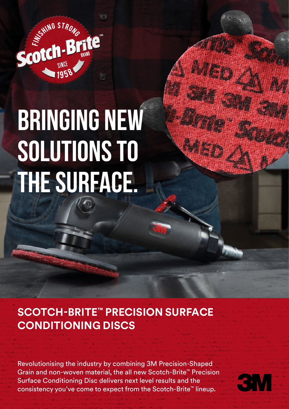

# **BRINGING NEW solutions to the surface.**

**SCOTCH-BRITE™ PRECISION SURFACE CONDITIONING DISCS**

Revolutionising the industry by combining 3M Precision-Shaped Grain and non-woven material, the all new Scotch-Brite™ Precision Surface Conditioning Disc delivers next level results and the consistency you've come to expect from the Scotch-Brite™ lineup.